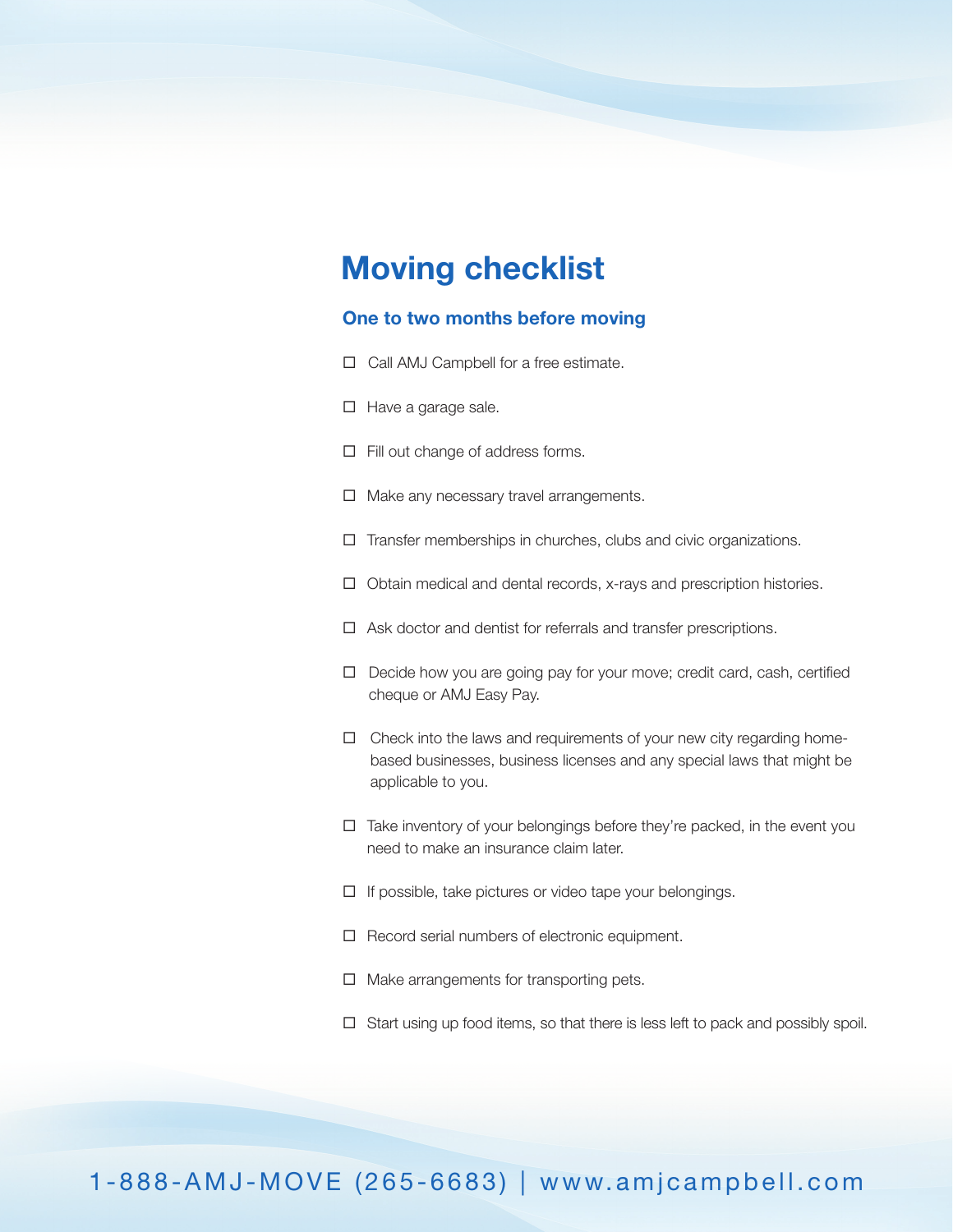# **Moving checklist**

### **One to two months before moving**

- □ Call AMJ Campbell for a free estimate.
- $\Box$  Have a garage sale.
- $\Box$  Fill out change of address forms.
- $\Box$  Make any necessary travel arrangements.
- $\Box$  Transfer memberships in churches, clubs and civic organizations.
- $\Box$  Obtain medical and dental records, x-rays and prescription histories.
- $\Box$  Ask doctor and dentist for referrals and transfer prescriptions.
- □ Decide how you are going pay for your move; credit card, cash, certified cheque or AMJ Easy Pay.
- $\Box$  Check into the laws and requirements of your new city regarding homebased businesses, business licenses and any special laws that might be applicable to you.
- $\Box$  Take inventory of your belongings before they're packed, in the event you need to make an insurance claim later.
- $\Box$  If possible, take pictures or video tape your belongings.
- $\Box$  Record serial numbers of electronic equipment.
- $\Box$  Make arrangements for transporting pets.
- $\Box$  Start using up food items, so that there is less left to pack and possibly spoil.

# 1-888-AMJ-MOVE (265-6683) | www.amjcampbell.com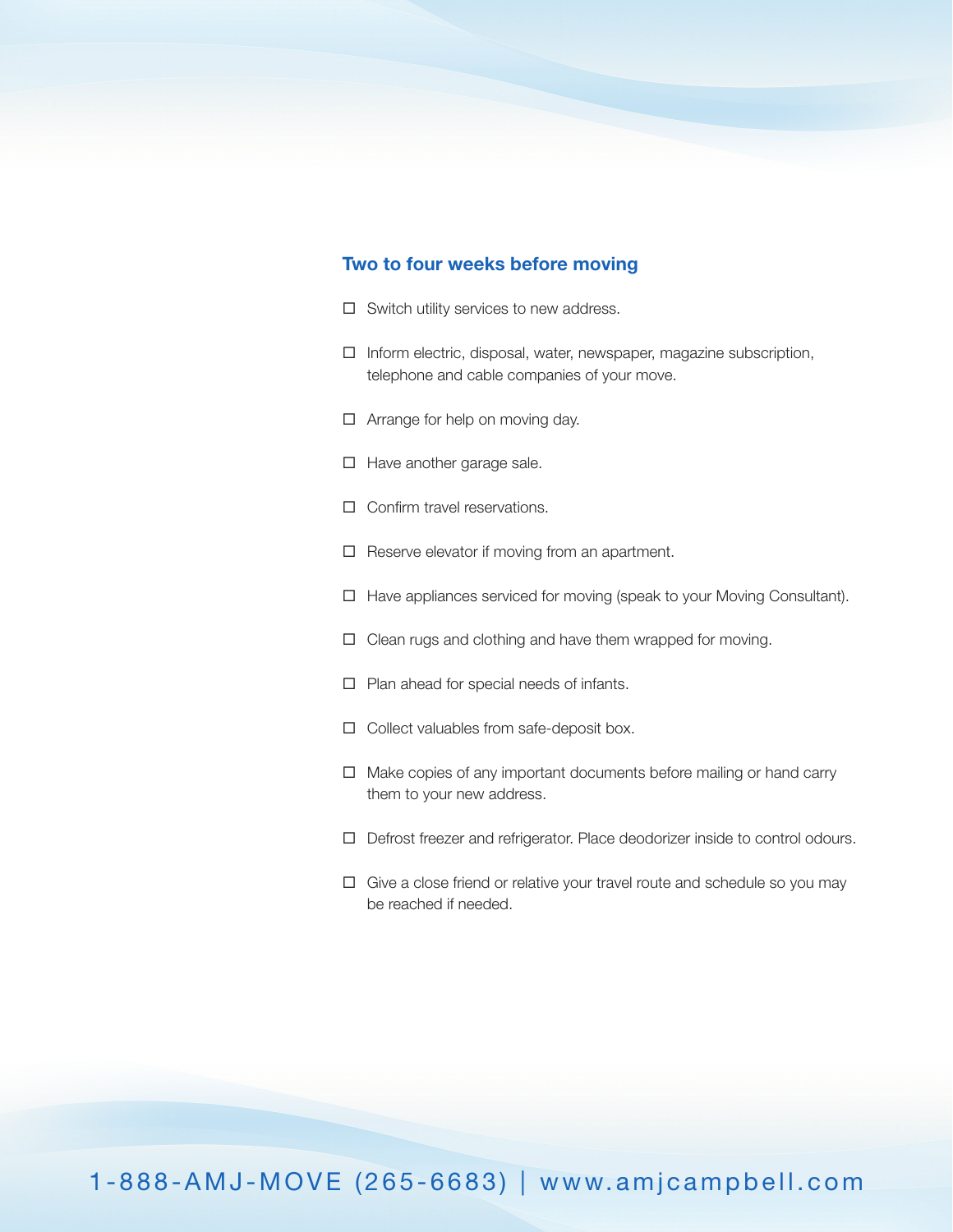#### **Two to four weeks before moving**

- $\Box$  Switch utility services to new address.
- $\Box$  Inform electric, disposal, water, newspaper, magazine subscription, telephone and cable companies of your move.
- $\Box$  Arrange for help on moving day.
- $\Box$  Have another garage sale.
- $\Box$  Confirm travel reservations.
- $\Box$  Reserve elevator if moving from an apartment.
- $\Box$  Have appliances serviced for moving (speak to your Moving Consultant).
- $\Box$  Clean rugs and clothing and have them wrapped for moving.
- $\Box$  Plan ahead for special needs of infants.
- $\Box$  Collect valuables from safe-deposit box.
- $\Box$  Make copies of any important documents before mailing or hand carry them to your new address.
- Defrost freezer and refrigerator. Place deodorizer inside to control odours.
- $\Box$  Give a close friend or relative your travel route and schedule so you may be reached if needed.

1-888-AMJ-MOVE (265-6683) | www.amjcampbell.com